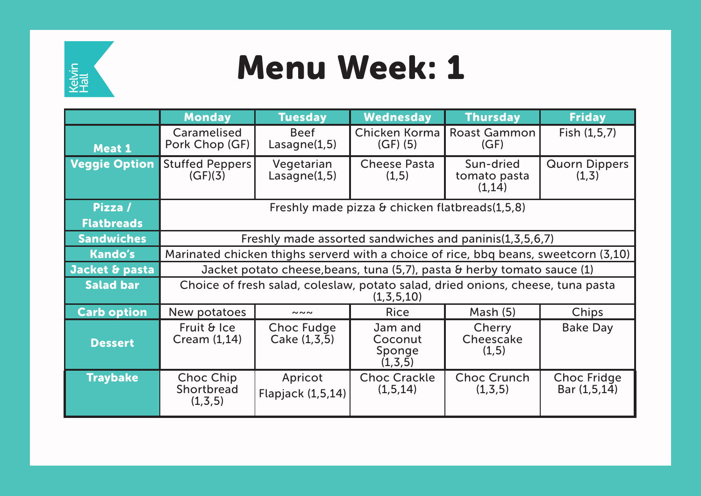

## Menu Week: 1

|                      | <b>Monday</b>                                                                                 | <b>Tuesday</b>                      | <b>Wednesday</b>                          | <b>Thursday</b>                     | <b>Friday</b>                        |  |  |
|----------------------|-----------------------------------------------------------------------------------------------|-------------------------------------|-------------------------------------------|-------------------------------------|--------------------------------------|--|--|
| Meat 1               | Caramelised<br>Pork Chop (GF)                                                                 | <b>Beef</b><br>Lasagne(1,5)         | Chicken Korma<br>$(GF)$ (5)               | <b>Roast Gammon</b><br>(GF)         | Fish $(1,5,7)$                       |  |  |
| <b>Veggie Option</b> | <b>Stuffed Peppers</b><br>(GF)(3)                                                             | Vegetarian<br>Lasagne(1,5)          | <b>Cheese Pasta</b><br>(1, 5)             | Sun-dried<br>tomato pasta<br>(1,14) | <b>Quorn Dippers</b><br>(1,3)        |  |  |
| Pizza /              | Freshly made pizza & chicken flatbreads(1,5,8)                                                |                                     |                                           |                                     |                                      |  |  |
| <b>Flatbreads</b>    |                                                                                               |                                     |                                           |                                     |                                      |  |  |
| <b>Sandwiches</b>    | Freshly made assorted sandwiches and paninis(1,3,5,6,7)                                       |                                     |                                           |                                     |                                      |  |  |
| <b>Kando's</b>       | Marinated chicken thighs serverd with a choice of rice, bbq beans, sweetcorn (3,10)           |                                     |                                           |                                     |                                      |  |  |
| Jacket & pasta       | Jacket potato cheese, beans, tuna (5,7), pasta & herby tomato sauce (1)                       |                                     |                                           |                                     |                                      |  |  |
| <b>Salad bar</b>     | Choice of fresh salad, coleslaw, potato salad, dried onions, cheese, tuna pasta<br>(1,3,5,10) |                                     |                                           |                                     |                                      |  |  |
| <b>Carb option</b>   | New potatoes                                                                                  | $\sim\sim\sim$                      | <b>Rice</b>                               | Mash $(5)$                          | Chips                                |  |  |
| <b>Dessert</b>       | Fruit & Ice<br>Cream $(1,14)$                                                                 | <b>Choc Fudge</b><br>Cake (1, 3, 5) | Jam and<br>Coconut<br>Sponge<br>(1, 3, 5) | Cherry<br>Cheescake<br>(1,5)        | <b>Bake Day</b>                      |  |  |
| <b>Traybake</b>      | Choc Chip<br>Shortbread<br>(1, 3, 5)                                                          | Apricot<br>Flapjack (1,5,14)        | <b>Choc Crackle</b><br>(1, 5, 14)         | <b>Choc Crunch</b><br>(1, 3, 5)     | <b>Choc Fridge</b><br>Bar $(1,5,14)$ |  |  |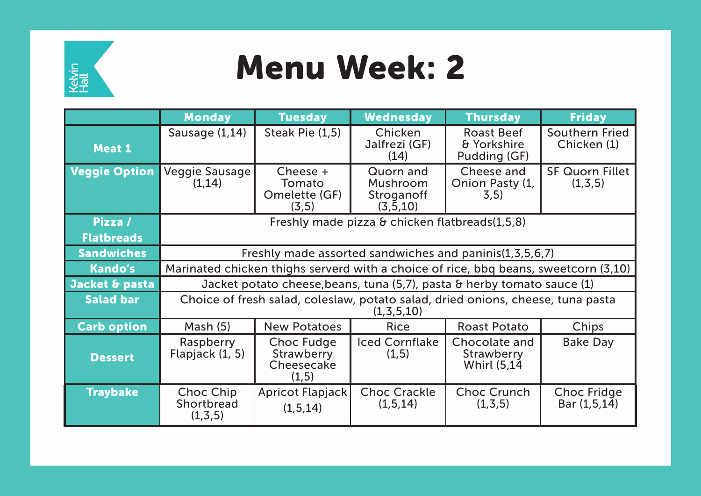

## Menu Week: 2

|                              | <b>Monday</b>                                                                                    | <b>Tuesday</b>                                                | <b>Wednesday</b>                                  | <b>Thursday</b>                                           | <b>Friday</b>                        |  |  |
|------------------------------|--------------------------------------------------------------------------------------------------|---------------------------------------------------------------|---------------------------------------------------|-----------------------------------------------------------|--------------------------------------|--|--|
| <b>Meat 1</b>                | Sausage (1,14)                                                                                   | Steak Pie (1,5)                                               | Chicken<br>Jalfrezi (GF)<br>(14)                  | <b>Roast Beef</b><br>& Yorkshire<br>Pudding (GF)          | <b>Southern Fried</b><br>Chicken (1) |  |  |
| <b>Veggie Option</b>         | Veggie Sausage<br>(1, 14)                                                                        | Cheese +<br>Tomato<br>Omelette (GF)<br>(3, 5)                 | Quorn and<br>Mushroom<br>Stroganoff<br>(3, 5, 10) | Cheese and<br>Onion Pasty (1,<br>3, 5)                    | <b>SF Quorn Fillet</b><br>(1, 3, 5)  |  |  |
| Pizza /<br><b>Flatbreads</b> | Freshly made pizza & chicken flatbreads(1,5,8)                                                   |                                                               |                                                   |                                                           |                                      |  |  |
| <b>Sandwiches</b>            | Freshly made assorted sandwiches and paninis(1,3,5,6,7)                                          |                                                               |                                                   |                                                           |                                      |  |  |
| <b>Kando's</b>               | Marinated chicken thighs serverd with a choice of rice, bbq beans, sweetcorn (3,10)              |                                                               |                                                   |                                                           |                                      |  |  |
| Jacket & pasta               | Jacket potato cheese, beans, tuna (5,7), pasta & herby tomato sauce (1)                          |                                                               |                                                   |                                                           |                                      |  |  |
| <b>Salad bar</b>             | Choice of fresh salad, coleslaw, potato salad, dried onions, cheese, tuna pasta<br>(1, 3, 5, 10) |                                                               |                                                   |                                                           |                                      |  |  |
| <b>Carb option</b>           | Mash (5)                                                                                         | <b>New Potatoes</b>                                           | <b>Rice</b>                                       | <b>Roast Potato</b>                                       | Chips                                |  |  |
| <b>Dessert</b>               | Raspberry<br>Flapjack (1, 5)                                                                     | <b>Choc Fudge</b><br><b>Strawberry</b><br>Cheesecake<br>(1,5) | <b>Iced Cornflake</b><br>(1,5)                    | Chocolate and<br><b>Strawberry</b><br><b>Whirl (5,14)</b> | <b>Bake Day</b>                      |  |  |
| <b>Traybake</b>              | Choc Chip<br>Shortbread<br>(1, 3, 5)                                                             | Apricot Flapjack<br>(1, 5, 14)                                | <b>Choc Crackle</b><br>(1, 5, 14)                 | <b>Choc Crunch</b><br>(1, 3, 5)                           | <b>Choc Fridge</b><br>Bar (1,5,14)   |  |  |